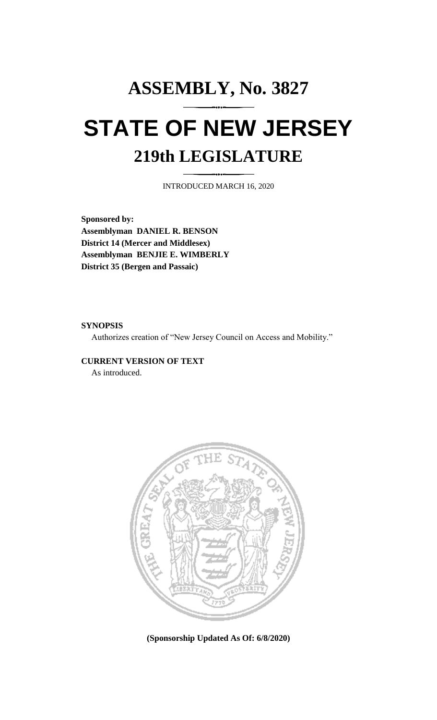# **ASSEMBLY, No. 3827 STATE OF NEW JERSEY 219th LEGISLATURE**

INTRODUCED MARCH 16, 2020

**Sponsored by: Assemblyman DANIEL R. BENSON District 14 (Mercer and Middlesex) Assemblyman BENJIE E. WIMBERLY District 35 (Bergen and Passaic)**

#### **SYNOPSIS**

Authorizes creation of "New Jersey Council on Access and Mobility."

#### **CURRENT VERSION OF TEXT**

As introduced.



**(Sponsorship Updated As Of: 6/8/2020)**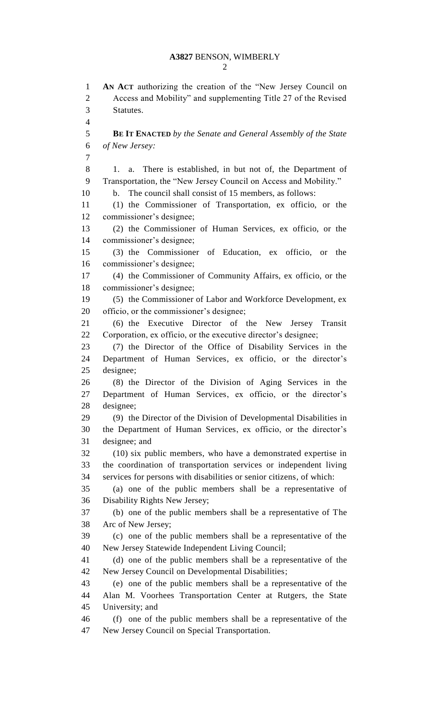### **A3827** BENSON, WIMBERLY

 **AN ACT** authorizing the creation of the "New Jersey Council on Access and Mobility" and supplementing Title 27 of the Revised Statutes. **BE IT ENACTED** *by the Senate and General Assembly of the State of New Jersey:* 1. a. There is established, in but not of, the Department of Transportation, the "New Jersey Council on Access and Mobility." b. The council shall consist of 15 members, as follows: (1) the Commissioner of Transportation, ex officio, or the commissioner's designee; (2) the Commissioner of Human Services, ex officio, or the commissioner's designee; (3) the Commissioner of Education, ex officio, or the commissioner's designee; (4) the Commissioner of Community Affairs, ex officio, or the commissioner's designee; (5) the Commissioner of Labor and Workforce Development, ex officio, or the commissioner's designee; (6) the Executive Director of the New Jersey Transit Corporation, ex officio, or the executive director's designee; (7) the Director of the Office of Disability Services in the Department of Human Services, ex officio, or the director's designee; (8) the Director of the Division of Aging Services in the Department of Human Services, ex officio, or the director's designee; (9) the Director of the Division of Developmental Disabilities in the Department of Human Services, ex officio, or the director's designee; and (10) six public members, who have a demonstrated expertise in the coordination of transportation services or independent living services for persons with disabilities or senior citizens, of which: (a) one of the public members shall be a representative of Disability Rights New Jersey; (b) one of the public members shall be a representative of The Arc of New Jersey; (c) one of the public members shall be a representative of the New Jersey Statewide Independent Living Council; (d) one of the public members shall be a representative of the New Jersey Council on Developmental Disabilities; (e) one of the public members shall be a representative of the Alan M. Voorhees Transportation Center at Rutgers, the State University; and (f) one of the public members shall be a representative of the New Jersey Council on Special Transportation.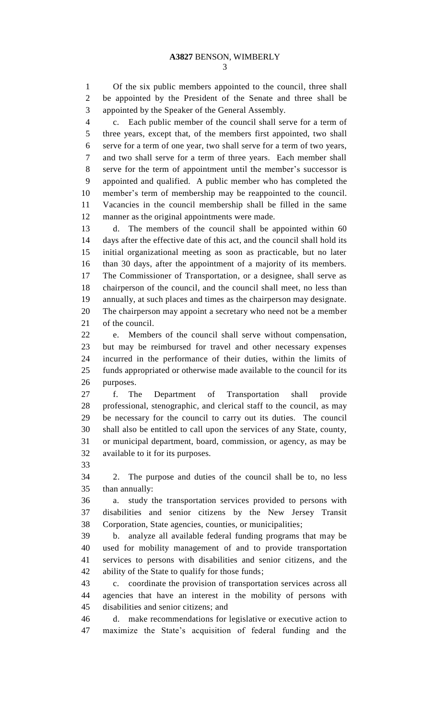Of the six public members appointed to the council, three shall be appointed by the President of the Senate and three shall be appointed by the Speaker of the General Assembly.

 c. Each public member of the council shall serve for a term of three years, except that, of the members first appointed, two shall serve for a term of one year, two shall serve for a term of two years, and two shall serve for a term of three years. Each member shall serve for the term of appointment until the member's successor is appointed and qualified. A public member who has completed the member's term of membership may be reappointed to the council. Vacancies in the council membership shall be filled in the same manner as the original appointments were made.

 d. The members of the council shall be appointed within 60 days after the effective date of this act, and the council shall hold its initial organizational meeting as soon as practicable, but no later than 30 days, after the appointment of a majority of its members. The Commissioner of Transportation, or a designee, shall serve as chairperson of the council, and the council shall meet, no less than annually, at such places and times as the chairperson may designate. The chairperson may appoint a secretary who need not be a member of the council.

 e. Members of the council shall serve without compensation, but may be reimbursed for travel and other necessary expenses incurred in the performance of their duties, within the limits of funds appropriated or otherwise made available to the council for its purposes.

 f. The Department of Transportation shall provide professional, stenographic, and clerical staff to the council, as may be necessary for the council to carry out its duties. The council shall also be entitled to call upon the services of any State, county, or municipal department, board, commission, or agency, as may be available to it for its purposes.

 2. The purpose and duties of the council shall be to, no less than annually:

 a. study the transportation services provided to persons with disabilities and senior citizens by the New Jersey Transit Corporation, State agencies, counties, or municipalities;

 b. analyze all available federal funding programs that may be used for mobility management of and to provide transportation services to persons with disabilities and senior citizens, and the ability of the State to qualify for those funds;

 c. coordinate the provision of transportation services across all agencies that have an interest in the mobility of persons with disabilities and senior citizens; and

 d. make recommendations for legislative or executive action to maximize the State's acquisition of federal funding and the